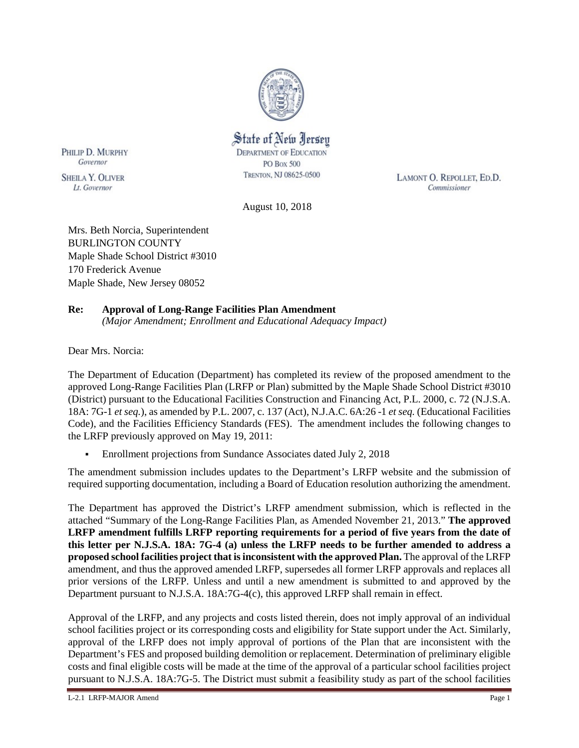

State of New Jersey **DEPARTMENT OF EDUCATION PO Box 500** TRENTON, NJ 08625-0500

LAMONT O. REPOLLET, ED.D. Commissioner

August 10, 2018

Mrs. Beth Norcia, Superintendent BURLINGTON COUNTY Maple Shade School District #3010 170 Frederick Avenue Maple Shade, New Jersey 08052

# **Re: Approval of Long-Range Facilities Plan Amendment**

*(Major Amendment; Enrollment and Educational Adequacy Impact)*

Dear Mrs. Norcia:

PHILIP D. MURPHY

Governor

**SHEILA Y. OLIVER** 

Lt. Governor

The Department of Education (Department) has completed its review of the proposed amendment to the approved Long-Range Facilities Plan (LRFP or Plan) submitted by the Maple Shade School District #3010 (District) pursuant to the Educational Facilities Construction and Financing Act, P.L. 2000, c. 72 (N.J.S.A. 18A: 7G-1 *et seq.*), as amended by P.L. 2007, c. 137 (Act), N.J.A.C. 6A:26 -1 *et seq.* (Educational Facilities Code), and the Facilities Efficiency Standards (FES). The amendment includes the following changes to the LRFP previously approved on May 19, 2011:

Enrollment projections from Sundance Associates dated July 2, 2018

The amendment submission includes updates to the Department's LRFP website and the submission of required supporting documentation, including a Board of Education resolution authorizing the amendment.

The Department has approved the District's LRFP amendment submission, which is reflected in the attached "Summary of the Long-Range Facilities Plan, as Amended November 21, 2013." **The approved LRFP amendment fulfills LRFP reporting requirements for a period of five years from the date of this letter per N.J.S.A. 18A: 7G-4 (a) unless the LRFP needs to be further amended to address a proposed school facilities project that is inconsistent with the approved Plan.** The approval of the LRFP amendment, and thus the approved amended LRFP, supersedes all former LRFP approvals and replaces all prior versions of the LRFP. Unless and until a new amendment is submitted to and approved by the Department pursuant to N.J.S.A. 18A:7G-4(c), this approved LRFP shall remain in effect.

Approval of the LRFP, and any projects and costs listed therein, does not imply approval of an individual school facilities project or its corresponding costs and eligibility for State support under the Act. Similarly, approval of the LRFP does not imply approval of portions of the Plan that are inconsistent with the Department's FES and proposed building demolition or replacement. Determination of preliminary eligible costs and final eligible costs will be made at the time of the approval of a particular school facilities project pursuant to N.J.S.A. 18A:7G-5. The District must submit a feasibility study as part of the school facilities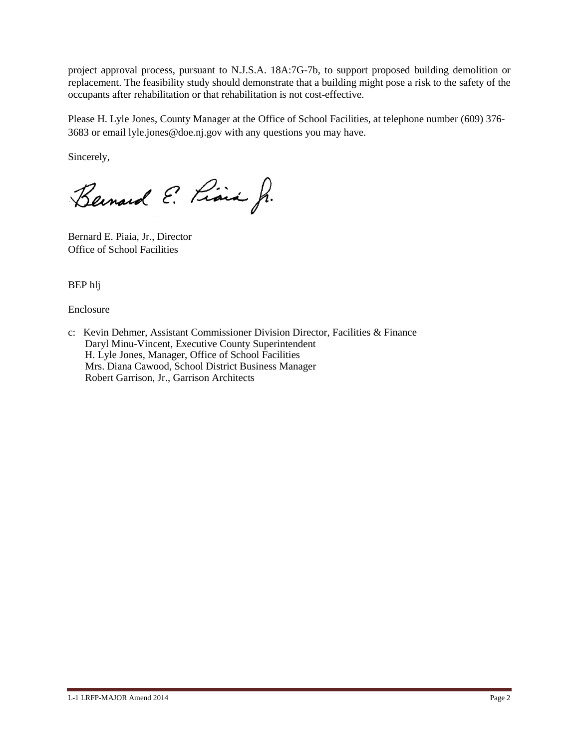project approval process, pursuant to N.J.S.A. 18A:7G-7b, to support proposed building demolition or replacement. The feasibility study should demonstrate that a building might pose a risk to the safety of the occupants after rehabilitation or that rehabilitation is not cost-effective.

Please H. Lyle Jones, County Manager at the Office of School Facilities, at telephone number (609) 376- 3683 or email lyle.jones@doe.nj.gov with any questions you may have.

Sincerely,

Bernard E. Piara Jr.

Bernard E. Piaia, Jr., Director Office of School Facilities

BEP hlj

Enclosure

c: Kevin Dehmer, Assistant Commissioner Division Director, Facilities & Finance Daryl Minu-Vincent, Executive County Superintendent H. Lyle Jones, Manager, Office of School Facilities Mrs. Diana Cawood, School District Business Manager Robert Garrison, Jr., Garrison Architects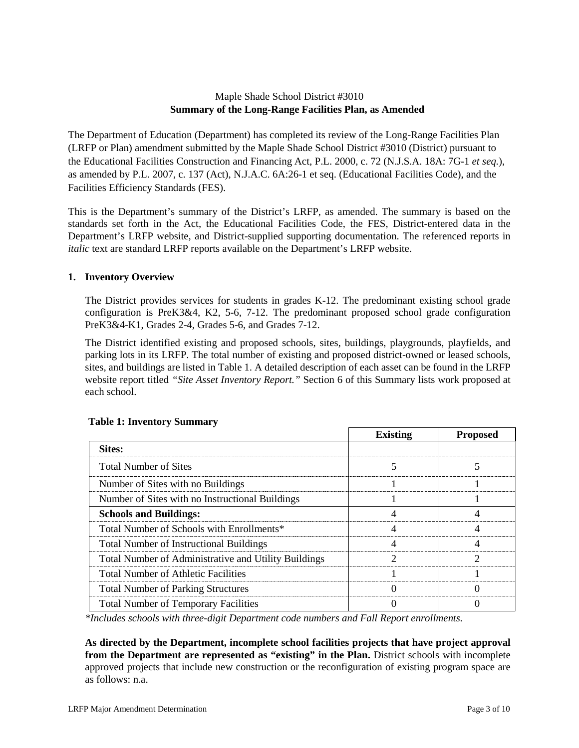## Maple Shade School District #3010 **Summary of the Long-Range Facilities Plan, as Amended**

The Department of Education (Department) has completed its review of the Long-Range Facilities Plan (LRFP or Plan) amendment submitted by the Maple Shade School District #3010 (District) pursuant to the Educational Facilities Construction and Financing Act, P.L. 2000, c. 72 (N.J.S.A. 18A: 7G-1 *et seq.*), as amended by P.L. 2007, c. 137 (Act), N.J.A.C. 6A:26-1 et seq. (Educational Facilities Code), and the Facilities Efficiency Standards (FES).

This is the Department's summary of the District's LRFP, as amended. The summary is based on the standards set forth in the Act, the Educational Facilities Code, the FES, District-entered data in the Department's LRFP website, and District-supplied supporting documentation. The referenced reports in *italic* text are standard LRFP reports available on the Department's LRFP website.

## **1. Inventory Overview**

The District provides services for students in grades K-12. The predominant existing school grade configuration is PreK3&4, K2, 5-6, 7-12. The predominant proposed school grade configuration PreK3&4-K1, Grades 2-4, Grades 5-6, and Grades 7-12.

The District identified existing and proposed schools, sites, buildings, playgrounds, playfields, and parking lots in its LRFP. The total number of existing and proposed district-owned or leased schools, sites, and buildings are listed in Table 1. A detailed description of each asset can be found in the LRFP website report titled *"Site Asset Inventory Report."* Section 6 of this Summary lists work proposed at each school.

|                                                      | <b>Existing</b> | <b>Proposed</b> |
|------------------------------------------------------|-----------------|-----------------|
| <b>Sites:</b>                                        |                 |                 |
| <b>Total Number of Sites</b>                         |                 |                 |
| Number of Sites with no Buildings                    |                 |                 |
| Number of Sites with no Instructional Buildings      |                 |                 |
| <b>Schools and Buildings:</b>                        |                 |                 |
| Total Number of Schools with Enrollments*            |                 |                 |
| <b>Total Number of Instructional Buildings</b>       |                 |                 |
| Total Number of Administrative and Utility Buildings |                 |                 |
| <b>Total Number of Athletic Facilities</b>           |                 |                 |
| <b>Total Number of Parking Structures</b>            |                 |                 |
| <b>Total Number of Temporary Facilities</b>          |                 |                 |

## **Table 1: Inventory Summary**

*\*Includes schools with three-digit Department code numbers and Fall Report enrollments.*

**As directed by the Department, incomplete school facilities projects that have project approval from the Department are represented as "existing" in the Plan.** District schools with incomplete approved projects that include new construction or the reconfiguration of existing program space are as follows: n.a.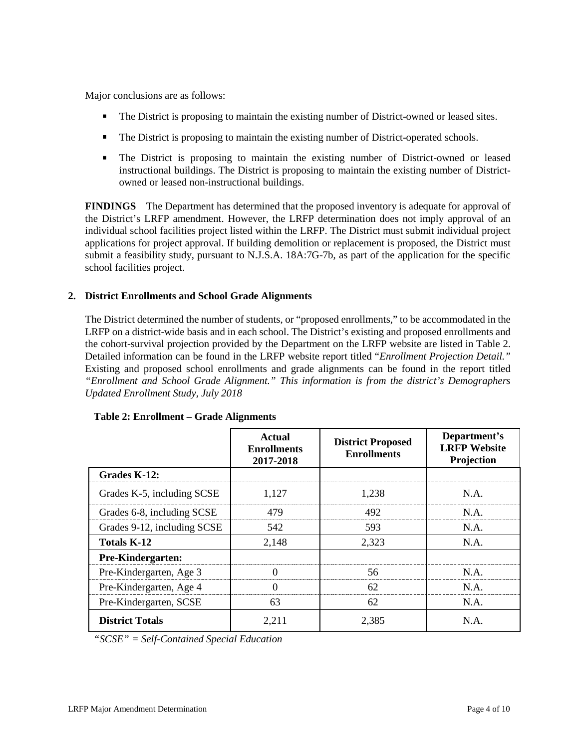Major conclusions are as follows:

- The District is proposing to maintain the existing number of District-owned or leased sites.
- The District is proposing to maintain the existing number of District-operated schools.
- The District is proposing to maintain the existing number of District-owned or leased instructional buildings. The District is proposing to maintain the existing number of Districtowned or leased non-instructional buildings.

**FINDINGS** The Department has determined that the proposed inventory is adequate for approval of the District's LRFP amendment. However, the LRFP determination does not imply approval of an individual school facilities project listed within the LRFP. The District must submit individual project applications for project approval. If building demolition or replacement is proposed, the District must submit a feasibility study, pursuant to N.J.S.A. 18A:7G-7b, as part of the application for the specific school facilities project.

## **2. District Enrollments and School Grade Alignments**

The District determined the number of students, or "proposed enrollments," to be accommodated in the LRFP on a district-wide basis and in each school. The District's existing and proposed enrollments and the cohort-survival projection provided by the Department on the LRFP website are listed in Table 2. Detailed information can be found in the LRFP website report titled "*Enrollment Projection Detail."*  Existing and proposed school enrollments and grade alignments can be found in the report titled *"Enrollment and School Grade Alignment." This information is from the district's Demographers Updated Enrollment Study, July 2018*

|                             | Actual<br><b>Enrollments</b><br>2017-2018 | <b>District Proposed</b><br><b>Enrollments</b> | Department's<br><b>LRFP Website</b><br>Projection |
|-----------------------------|-------------------------------------------|------------------------------------------------|---------------------------------------------------|
| Grades K-12:                |                                           |                                                |                                                   |
| Grades K-5, including SCSE  | 1,127                                     | 1.238                                          | NA.                                               |
| Grades 6-8, including SCSE  | 479                                       | 492                                            | N A                                               |
| Grades 9-12, including SCSE | 542                                       | 593                                            | N.A.                                              |
| <b>Totals K-12</b>          | 2,148                                     | 2,323                                          | N.A.                                              |
| Pre-Kindergarten:           |                                           |                                                |                                                   |
| Pre-Kindergarten, Age 3     |                                           | 56                                             | N A                                               |
| Pre-Kindergarten, Age 4     | $\mathbf{\Omega}$                         | 62                                             | $NA$ .                                            |
| Pre-Kindergarten, SCSE      | 63                                        | 62                                             | N.A.                                              |
| <b>District Totals</b>      | 2,211                                     | 2,385                                          | N.A.                                              |

#### **Table 2: Enrollment – Grade Alignments**

*"SCSE" = Self-Contained Special Education*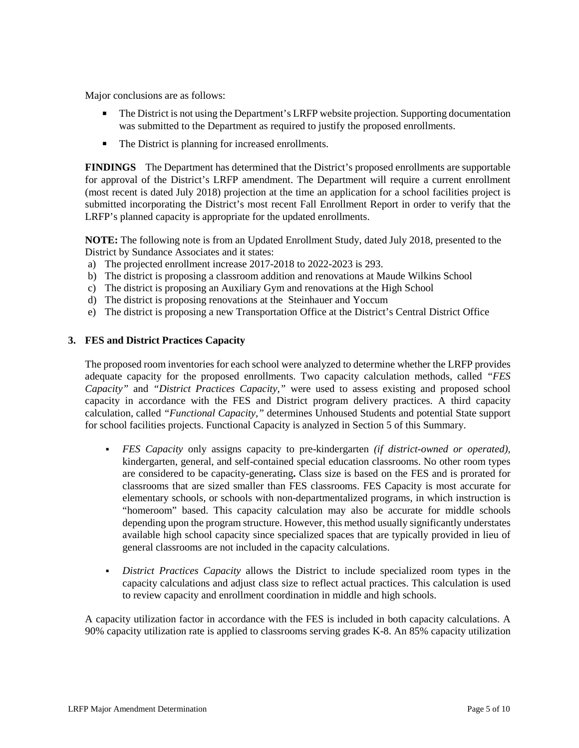Major conclusions are as follows:

- The District is not using the Department's LRFP website projection. Supporting documentation was submitted to the Department as required to justify the proposed enrollments.
- The District is planning for increased enrollments.

**FINDINGS** The Department has determined that the District's proposed enrollments are supportable for approval of the District's LRFP amendment. The Department will require a current enrollment (most recent is dated July 2018) projection at the time an application for a school facilities project is submitted incorporating the District's most recent Fall Enrollment Report in order to verify that the LRFP's planned capacity is appropriate for the updated enrollments.

**NOTE:** The following note is from an Updated Enrollment Study, dated July 2018, presented to the District by Sundance Associates and it states:

- a) The projected enrollment increase 2017-2018 to 2022-2023 is 293.
- b) The district is proposing a classroom addition and renovations at Maude Wilkins School
- c) The district is proposing an Auxiliary Gym and renovations at the High School
- d) The district is proposing renovations at the Steinhauer and Yoccum
- e) The district is proposing a new Transportation Office at the District's Central District Office

#### **3. FES and District Practices Capacity**

The proposed room inventories for each school were analyzed to determine whether the LRFP provides adequate capacity for the proposed enrollments. Two capacity calculation methods, called *"FES Capacity"* and *"District Practices Capacity,"* were used to assess existing and proposed school capacity in accordance with the FES and District program delivery practices. A third capacity calculation, called *"Functional Capacity,"* determines Unhoused Students and potential State support for school facilities projects. Functional Capacity is analyzed in Section 5 of this Summary.

- *FES Capacity* only assigns capacity to pre-kindergarten *(if district-owned or operated),* kindergarten, general, and self-contained special education classrooms. No other room types are considered to be capacity-generating**.** Class size is based on the FES and is prorated for classrooms that are sized smaller than FES classrooms. FES Capacity is most accurate for elementary schools, or schools with non-departmentalized programs, in which instruction is "homeroom" based. This capacity calculation may also be accurate for middle schools depending upon the program structure. However, this method usually significantly understates available high school capacity since specialized spaces that are typically provided in lieu of general classrooms are not included in the capacity calculations.
- *District Practices Capacity* allows the District to include specialized room types in the capacity calculations and adjust class size to reflect actual practices. This calculation is used to review capacity and enrollment coordination in middle and high schools.

A capacity utilization factor in accordance with the FES is included in both capacity calculations. A 90% capacity utilization rate is applied to classrooms serving grades K-8. An 85% capacity utilization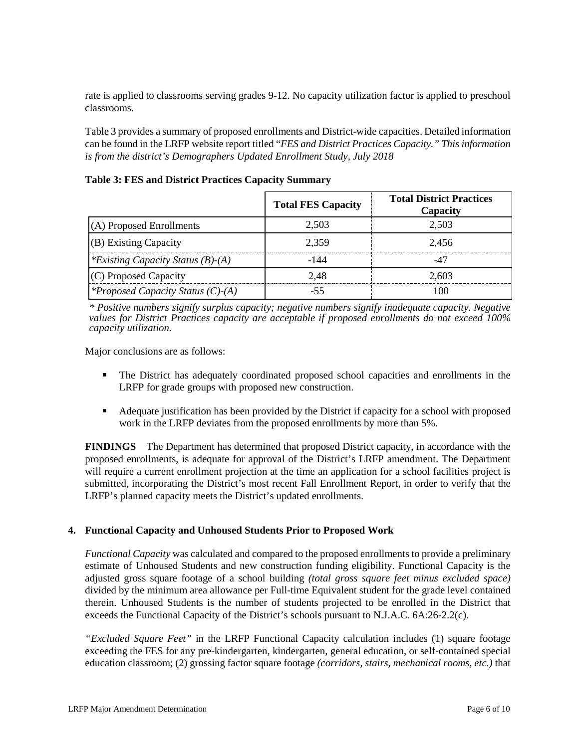rate is applied to classrooms serving grades 9-12. No capacity utilization factor is applied to preschool classrooms.

Table 3 provides a summary of proposed enrollments and District-wide capacities. Detailed information can be found in the LRFP website report titled "*FES and District Practices Capacity." This information is from the district's Demographers Updated Enrollment Study, July 2018*

| Table 3: FES and District Practices Capacity Summary |  |
|------------------------------------------------------|--|
|------------------------------------------------------|--|

|                                          | <b>Total FES Capacity</b> | <b>Total District Practices</b><br>Capacity |
|------------------------------------------|---------------------------|---------------------------------------------|
| (A) Proposed Enrollments                 | 2.503                     | 2.503                                       |
| (B) Existing Capacity                    | 2.359                     | 2.456                                       |
| *Existing Capacity Status $(B)$ - $(A)$  | -144                      |                                             |
| (C) Proposed Capacity                    | 2.48                      | 2.603                                       |
| <i>*Proposed Capacity Status (C)-(A)</i> |                           |                                             |

*\* Positive numbers signify surplus capacity; negative numbers signify inadequate capacity. Negative values for District Practices capacity are acceptable if proposed enrollments do not exceed 100% capacity utilization.*

Major conclusions are as follows:

- The District has adequately coordinated proposed school capacities and enrollments in the LRFP for grade groups with proposed new construction.
- Adequate justification has been provided by the District if capacity for a school with proposed work in the LRFP deviates from the proposed enrollments by more than 5%.

**FINDINGS** The Department has determined that proposed District capacity, in accordance with the proposed enrollments, is adequate for approval of the District's LRFP amendment. The Department will require a current enrollment projection at the time an application for a school facilities project is submitted, incorporating the District's most recent Fall Enrollment Report, in order to verify that the LRFP's planned capacity meets the District's updated enrollments.

#### **4. Functional Capacity and Unhoused Students Prior to Proposed Work**

*Functional Capacity* was calculated and compared to the proposed enrollments to provide a preliminary estimate of Unhoused Students and new construction funding eligibility. Functional Capacity is the adjusted gross square footage of a school building *(total gross square feet minus excluded space)*  divided by the minimum area allowance per Full-time Equivalent student for the grade level contained therein. Unhoused Students is the number of students projected to be enrolled in the District that exceeds the Functional Capacity of the District's schools pursuant to N.J.A.C. 6A:26-2.2(c).

*"Excluded Square Feet"* in the LRFP Functional Capacity calculation includes (1) square footage exceeding the FES for any pre-kindergarten, kindergarten, general education, or self-contained special education classroom; (2) grossing factor square footage *(corridors, stairs, mechanical rooms, etc.)* that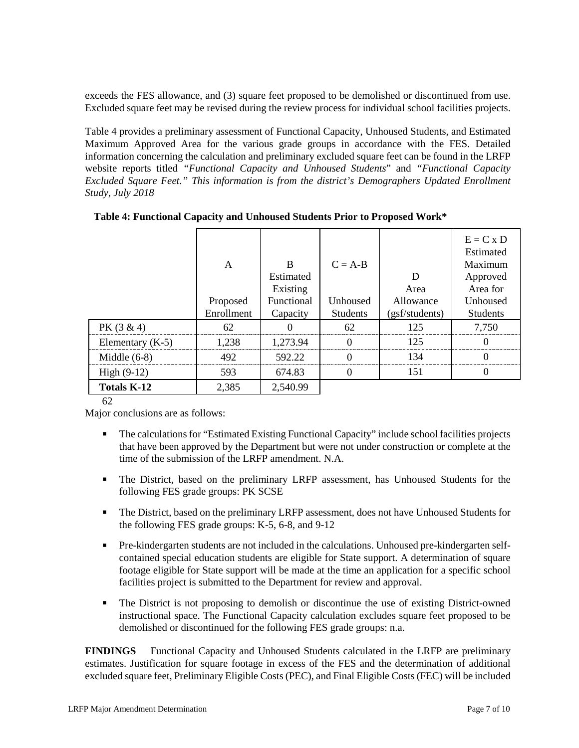exceeds the FES allowance, and (3) square feet proposed to be demolished or discontinued from use. Excluded square feet may be revised during the review process for individual school facilities projects.

Table 4 provides a preliminary assessment of Functional Capacity, Unhoused Students, and Estimated Maximum Approved Area for the various grade groups in accordance with the FES. Detailed information concerning the calculation and preliminary excluded square feet can be found in the LRFP website reports titled *"Functional Capacity and Unhoused Students*" and *"Functional Capacity Excluded Square Feet." This information is from the district's Demographers Updated Enrollment Study, July 2018*

|                    | A          | R<br>Estimated<br>Existing | $C = A-B$       | D<br>Area      | $E = C x D$<br>Estimated<br>Maximum<br>Approved<br>Area for |
|--------------------|------------|----------------------------|-----------------|----------------|-------------------------------------------------------------|
|                    | Proposed   | Functional                 | Unhoused        | Allowance      | Unhoused                                                    |
|                    | Enrollment | Capacity                   | <b>Students</b> | (gsf/students) | <b>Students</b>                                             |
| $PK(3 \& 4)$       | 62         |                            | 62              | 125            | 7.750                                                       |
| Elementary $(K-5)$ | 1 238      | 1.273.94                   |                 | 125            |                                                             |
| Middle $(6-8)$     | 492.       | 592.22                     |                 | 134            |                                                             |
| $High (9-12)$      | 593        | 674.83                     |                 | 151            |                                                             |
| <b>Totals K-12</b> | 2,385      | 2,540.99                   |                 |                |                                                             |

**Table 4: Functional Capacity and Unhoused Students Prior to Proposed Work\***

# 62

Major conclusions are as follows:

- The calculations for "Estimated Existing Functional Capacity" include school facilities projects that have been approved by the Department but were not under construction or complete at the time of the submission of the LRFP amendment. N.A.
- The District, based on the preliminary LRFP assessment, has Unhoused Students for the following FES grade groups: PK SCSE
- The District, based on the preliminary LRFP assessment, does not have Unhoused Students for the following FES grade groups: K-5, 6-8, and 9-12
- Pre-kindergarten students are not included in the calculations. Unhoused pre-kindergarten selfcontained special education students are eligible for State support. A determination of square footage eligible for State support will be made at the time an application for a specific school facilities project is submitted to the Department for review and approval.
- The District is not proposing to demolish or discontinue the use of existing District-owned instructional space. The Functional Capacity calculation excludes square feet proposed to be demolished or discontinued for the following FES grade groups: n.a.

**FINDINGS** Functional Capacity and Unhoused Students calculated in the LRFP are preliminary estimates. Justification for square footage in excess of the FES and the determination of additional excluded square feet, Preliminary Eligible Costs (PEC), and Final Eligible Costs (FEC) will be included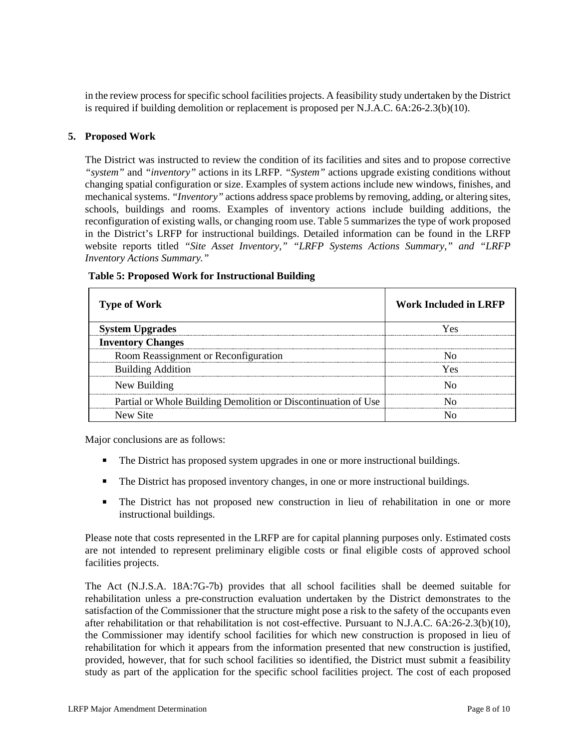in the review process for specific school facilities projects. A feasibility study undertaken by the District is required if building demolition or replacement is proposed per N.J.A.C.  $6A:26-2.3(b)(10)$ .

#### **5. Proposed Work**

The District was instructed to review the condition of its facilities and sites and to propose corrective *"system"* and *"inventory"* actions in its LRFP. *"System"* actions upgrade existing conditions without changing spatial configuration or size. Examples of system actions include new windows, finishes, and mechanical systems. *"Inventory"* actions address space problems by removing, adding, or altering sites, schools, buildings and rooms. Examples of inventory actions include building additions, the reconfiguration of existing walls, or changing room use. Table 5 summarizes the type of work proposed in the District's LRFP for instructional buildings. Detailed information can be found in the LRFP website reports titled *"Site Asset Inventory," "LRFP Systems Actions Summary," and "LRFP Inventory Actions Summary."* 

| <b>Type of Work</b>                                            | <b>Work Included in LRFP</b> |
|----------------------------------------------------------------|------------------------------|
| <b>System Upgrades</b>                                         | Yes                          |
| <b>Inventory Changes</b>                                       |                              |
| Room Reassignment or Reconfiguration                           |                              |
| <b>Building Addition</b>                                       | Yes                          |
| New Building                                                   |                              |
| Partial or Whole Building Demolition or Discontinuation of Use |                              |
| New Site                                                       |                              |

#### **Table 5: Proposed Work for Instructional Building**

Major conclusions are as follows:

- The District has proposed system upgrades in one or more instructional buildings.
- The District has proposed inventory changes, in one or more instructional buildings.
- The District has not proposed new construction in lieu of rehabilitation in one or more instructional buildings.

Please note that costs represented in the LRFP are for capital planning purposes only. Estimated costs are not intended to represent preliminary eligible costs or final eligible costs of approved school facilities projects.

The Act (N.J.S.A. 18A:7G-7b) provides that all school facilities shall be deemed suitable for rehabilitation unless a pre-construction evaluation undertaken by the District demonstrates to the satisfaction of the Commissioner that the structure might pose a risk to the safety of the occupants even after rehabilitation or that rehabilitation is not cost-effective. Pursuant to N.J.A.C. 6A:26-2.3(b)(10), the Commissioner may identify school facilities for which new construction is proposed in lieu of rehabilitation for which it appears from the information presented that new construction is justified, provided, however, that for such school facilities so identified, the District must submit a feasibility study as part of the application for the specific school facilities project. The cost of each proposed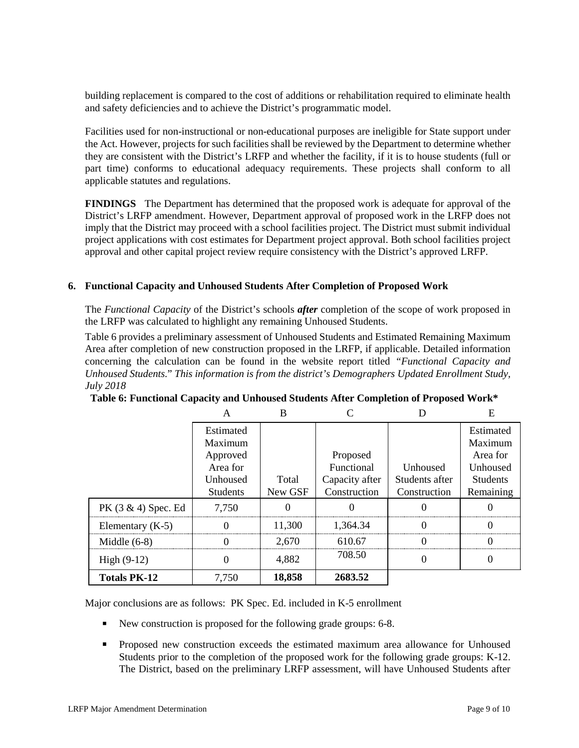building replacement is compared to the cost of additions or rehabilitation required to eliminate health and safety deficiencies and to achieve the District's programmatic model.

Facilities used for non-instructional or non-educational purposes are ineligible for State support under the Act. However, projects for such facilities shall be reviewed by the Department to determine whether they are consistent with the District's LRFP and whether the facility, if it is to house students (full or part time) conforms to educational adequacy requirements. These projects shall conform to all applicable statutes and regulations.

**FINDINGS** The Department has determined that the proposed work is adequate for approval of the District's LRFP amendment. However, Department approval of proposed work in the LRFP does not imply that the District may proceed with a school facilities project. The District must submit individual project applications with cost estimates for Department project approval. Both school facilities project approval and other capital project review require consistency with the District's approved LRFP.

#### **6. Functional Capacity and Unhoused Students After Completion of Proposed Work**

The *Functional Capacity* of the District's schools *after* completion of the scope of work proposed in the LRFP was calculated to highlight any remaining Unhoused Students.

Table 6 provides a preliminary assessment of Unhoused Students and Estimated Remaining Maximum Area after completion of new construction proposed in the LRFP, if applicable. Detailed information concerning the calculation can be found in the website report titled *"Functional Capacity and Unhoused Students.*" *This information is from the district's Demographers Updated Enrollment Study, July 2018*

|                        | A                                                                           | B                |                                                          |                                            | E                                                                            |
|------------------------|-----------------------------------------------------------------------------|------------------|----------------------------------------------------------|--------------------------------------------|------------------------------------------------------------------------------|
|                        | Estimated<br>Maximum<br>Approved<br>Area for<br>Unhoused<br><b>Students</b> | Total<br>New GSF | Proposed<br>Functional<br>Capacity after<br>Construction | Unhoused<br>Students after<br>Construction | Estimated<br>Maximum<br>Area for<br>Unhoused<br><b>Students</b><br>Remaining |
| PK $(3 \& 4)$ Spec. Ed | 7,750                                                                       |                  |                                                          |                                            |                                                                              |
| Elementary $(K-5)$     | $\theta$                                                                    | 11,300           | 1,364.34                                                 |                                            | 0                                                                            |
| Middle $(6-8)$         |                                                                             | 2,670            | 610.67                                                   |                                            |                                                                              |
| High $(9-12)$          |                                                                             | 4,882            | 708.50                                                   |                                            |                                                                              |
| <b>Totals PK-12</b>    | 7,750                                                                       | 18,858           | 2683.52                                                  |                                            |                                                                              |

| Table 6: Functional Capacity and Unhoused Students After Completion of Proposed Work* |  |
|---------------------------------------------------------------------------------------|--|
|---------------------------------------------------------------------------------------|--|

Major conclusions are as follows: PK Spec. Ed. included in K-5 enrollment

- New construction is proposed for the following grade groups: 6-8.
- Proposed new construction exceeds the estimated maximum area allowance for Unhoused Students prior to the completion of the proposed work for the following grade groups: K-12. The District, based on the preliminary LRFP assessment, will have Unhoused Students after